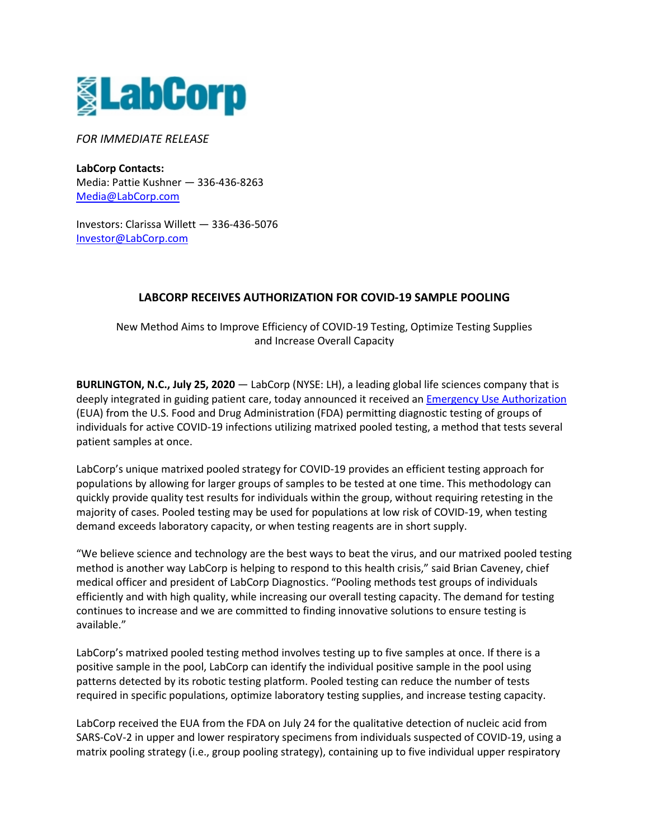

*FOR IMMEDIATE RELEASE*

**LabCorp Contacts:**  Media: Pattie Kushner — 336-436-8263 [Media@LabCorp.com](mailto:Media@LabCorp.com) 

Investors: Clarissa Willett — 336-436-5076 [Investor@LabCorp.com](mailto:Investor@LabCorp.com) 

## **LABCORP RECEIVES AUTHORIZATION FOR COVID-19 SAMPLE POOLING**

New Method Aims to Improve Efficiency of COVID-19 Testing, Optimize Testing Supplies and Increase Overall Capacity

**BURLINGTON, N.C., July 25, 2020** — LabCorp (NYSE: LH), a leading global life sciences company that is deeply integrated in guiding patient care, today announced it received an [Emergency Use Authorization](https://www.fda.gov/media/136151/download) (EUA) from the U.S. Food and Drug Administration (FDA) permitting diagnostic testing of groups of individuals for active COVID-19 infections utilizing matrixed pooled testing, a method that tests several patient samples at once.

LabCorp's unique matrixed pooled strategy for COVID-19 provides an efficient testing approach for populations by allowing for larger groups of samples to be tested at one time. This methodology can quickly provide quality test results for individuals within the group, without requiring retesting in the majority of cases. Pooled testing may be used for populations at low risk of COVID-19, when testing demand exceeds laboratory capacity, or when testing reagents are in short supply.

"We believe science and technology are the best ways to beat the virus, and our matrixed pooled testing method is another way LabCorp is helping to respond to this health crisis," said Brian Caveney, chief medical officer and president of LabCorp Diagnostics. "Pooling methods test groups of individuals efficiently and with high quality, while increasing our overall testing capacity. The demand for testing continues to increase and we are committed to finding innovative solutions to ensure testing is available."

LabCorp's matrixed pooled testing method involves testing up to five samples at once. If there is a positive sample in the pool, LabCorp can identify the individual positive sample in the pool using patterns detected by its robotic testing platform. Pooled testing can reduce the number of tests required in specific populations, optimize laboratory testing supplies, and increase testing capacity.

LabCorp received the EUA from the FDA on July 24 for the qualitative detection of nucleic acid from SARS-CoV-2 in upper and lower respiratory specimens from individuals suspected of COVID-19, using a matrix pooling strategy (i.e., group pooling strategy), containing up to five individual upper respiratory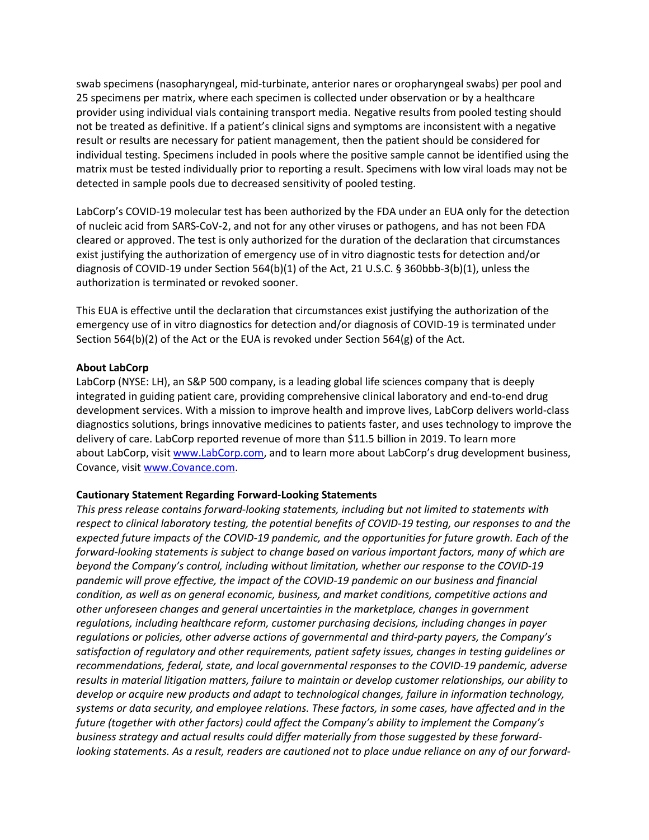swab specimens (nasopharyngeal, mid-turbinate, anterior nares or oropharyngeal swabs) per pool and 25 specimens per matrix, where each specimen is collected under observation or by a healthcare provider using individual vials containing transport media. Negative results from pooled testing should not be treated as definitive. If a patient's clinical signs and symptoms are inconsistent with a negative result or results are necessary for patient management, then the patient should be considered for individual testing. Specimens included in pools where the positive sample cannot be identified using the matrix must be tested individually prior to reporting a result. Specimens with low viral loads may not be detected in sample pools due to decreased sensitivity of pooled testing.

LabCorp's COVID-19 molecular test has been authorized by the FDA under an EUA only for the detection of nucleic acid from SARS-CoV-2, and not for any other viruses or pathogens, and has not been FDA cleared or approved. The test is only authorized for the duration of the declaration that circumstances exist justifying the authorization of emergency use of in vitro diagnostic tests for detection and/or diagnosis of COVID-19 under Section 564(b)(1) of the Act, 21 U.S.C. § 360bbb-3(b)(1), unless the authorization is terminated or revoked sooner.

This EUA is effective until the declaration that circumstances exist justifying the authorization of the emergency use of in vitro diagnostics for detection and/or diagnosis of COVID-19 is terminated under Section 564(b)(2) of the Act or the EUA is revoked under Section 564(g) of the Act.

## **About LabCorp**

LabCorp (NYSE: LH), an S&P 500 company, is a leading global life sciences company that is deeply integrated in guiding patient care, providing comprehensive clinical laboratory and end-to-end drug development services. With a mission to improve health and improve lives, LabCorp delivers world-class diagnostics solutions, brings innovative medicines to patients faster, and uses technology to improve the delivery of care. LabCorp reported revenue of more than \$11.5 billion in 2019. To learn more about LabCorp, visit [www.LabCorp.com,](https://www.labcorp.com/) and to learn more about LabCorp's drug development business, Covance, visit [www.Covance.com.](https://www.covance.com/)

## **Cautionary Statement Regarding Forward-Looking Statements**

*This press release contains forward-looking statements, including but not limited to statements with respect to clinical laboratory testing, the potential benefits of COVID-19 testing, our responses to and the expected future impacts of the COVID-19 pandemic, and the opportunities for future growth. Each of the forward-looking statements is subject to change based on various important factors, many of which are beyond the Company's control, including without limitation, whether our response to the COVID-19 pandemic will prove effective, the impact of the COVID-19 pandemic on our business and financial condition, as well as on general economic, business, and market conditions, competitive actions and other unforeseen changes and general uncertainties in the marketplace, changes in government regulations, including healthcare reform, customer purchasing decisions, including changes in payer regulations or policies, other adverse actions of governmental and third-party payers, the Company's satisfaction of regulatory and other requirements, patient safety issues, changes in testing guidelines or recommendations, federal, state, and local governmental responses to the COVID-19 pandemic, adverse results in material litigation matters, failure to maintain or develop customer relationships, our ability to develop or acquire new products and adapt to technological changes, failure in information technology, systems or data security, and employee relations. These factors, in some cases, have affected and in the future (together with other factors) could affect the Company's ability to implement the Company's business strategy and actual results could differ materially from those suggested by these forwardlooking statements. As a result, readers are cautioned not to place undue reliance on any of our forward-*